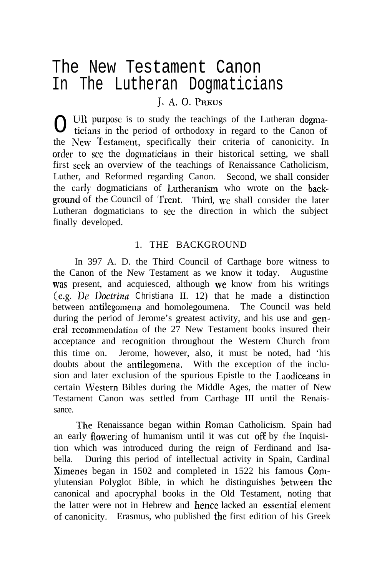# The New Testament Canon In The Lutheran Dogmaticians **I. A. 0. L'REUS**

O UR purpose is to study the teachings of the Lutheran dogma-<br>ticians in the period of orthodoxy in regard to the Canon of ticians in the period of orthodoxy in regard to the Canon of the New Testament, specifically their criteria of canonicity. In order to see the dogmaticians in their historical setting, we shall first seek an overview of the teachings of Renaissance Catholicism, Luther, and Reformed regarding Canon. Second, we shall consider the early dogmaticians of Lutheranism who wrote on the background of the Council of Trent. Third, we shall consider the later Lutheran dogmaticians to see the direction in which the subject finally developed.

## 1. THE BACKGROUND

In 397 A. D. the Third Council of Carthage bore witness to the Canon of the New Testament as we know it today. Augustine was present, and acquiesced, although we know from his writings (e.g. *IJc l)octrina Christiana* II. 12) that he made a distinction between antilegomena and homolegoumena. The Council was held during the period of Jerome's greatest activity, and his use and general recommendation of the 27 New Testament books insured their acceptance and recognition throughout the Western Church from this time on. Jerome, however, also, it must be noted, had 'his doubts about the antilegomena. With the exception of the inclusion and later exclusion of the spurious Epistle to the Laodiceans in certain Western Bibles during the Middle Ages, the matter of New Testament Canon was settled from Carthage III until the Renaissance.

The Renaissance began within Roman Catholicism. Spain had an early flowering of humanism until it was cut off by the Inquisition which was introduced during the reign of Ferdinand and Isabella. During this period of intellectual activity in Spain, Cardinal Ximenes began in 1502 and completed in 1522 his famous Comylutensian Polyglot Bible, in which he distinguishes between the canonical and apocryphal books in the Old Testament, noting that the latter were not in Hebrew and hence lacked an essential element of canonicity. Erasmus, who published the first edition of his Greek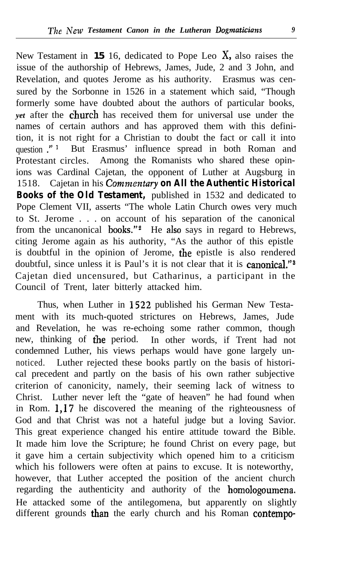New Testament in 15 16, dedicated to Pope Leo X, also raises the issue of the authorship of Hebrews, James, Jude, 2 and 3 John, and Revelation, and quotes Jerome as his authority. Erasmus was censured by the Sorbonne in 1526 in a statement which said, "Though formerly some have doubted about the authors of particular books, *vet* after the **church** has received them for universal use under the names of certain authors and has approved them with this definition, it is not right for a Christian to doubt the fact or call it into question."<sup>1</sup> But Erasmus' influence spread in both Roman and But Erasmus' influence spread in both Roman and Protestant circles. Among the Romanists who shared these opinions was Cardinal Cajetan, the opponent of Luther at Augsburg in 1518. Cajetan in his *Commentary on All the Authentic Historical Books of the Old Testament,* published in 1532 and dedicated to Pope Clement VII, asserts "The whole Latin Church owes very much to St. Jerome . . . on account of his separation of the canonical from the uncanonical books."<sup>2</sup> He also says in regard to Hebrews, citing Jerome again as his authority, "As the author of this epistle is doubtful in the opinion of Jerome, the epistle is also rendered doubtful, since unless it is Paul's it is not clear that it is canonical."<sup>3</sup> Cajetan died uncensured, but Catharinus, a participant in the Council of Trent, later bitterly attacked him.

Thus, when Luther in 1522 published his German New Testament with its much-quoted strictures on Hebrews, James, Jude and Revelation, he was re-echoing some rather common, though new, thinking of the period. In other words, if Trent had not condemned Luther, his views perhaps would have gone largely unnoticed. Luther rejected these books partly on the basis of historical precedent and partly on the basis of his own rather subjective criterion of canonicity, namely, their seeming lack of witness to Christ. Luther never left the "gate of heaven" he had found when in Rom. 1,17 he discovered the meaning of the righteousness of God and that Christ was not a hateful judge but a loving Savior. This great experience changed his entire attitude toward the Bible. It made him love the Scripture; he found Christ on every page, but it gave him a certain subjectivity which opened him to a criticism which his followers were often at pains to excuse. It is noteworthy, however, that Luther accepted the position of the ancient church regarding the authenticity and authority of the homologoumena. He attacked some of the antilegomena, but apparently on slightly different grounds **than** the early church and his Roman **contemp**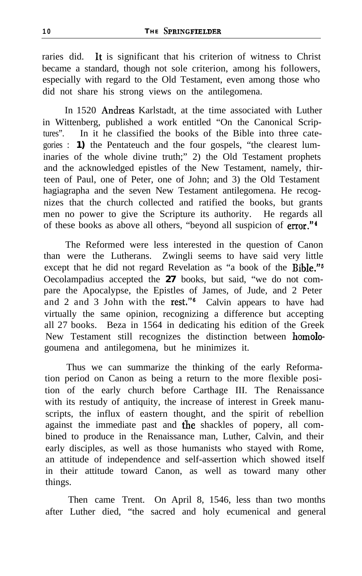raries did. It is significant that his criterion of witness to Christ became a standard, though not sole criterion, among his followers, especially with regard to the Old Testament, even among those who did not share his strong views on the antilegomena.

In 1520 Andreas Karlstadt, at the time associated with Luther in Wittenberg, published a work entitled "On the Canonical Scriptures". In it he classified the books of the Bible into three categories : **1)** the Pentateuch and the four gospels, "the clearest luminaries of the whole divine truth;" 2) the Old Testament prophets and the acknowledged epistles of the New Testament, namely, thirteen of Paul, one of Peter, one of John; and 3) the Old Testament hagiagrapha and the seven New Testament antilegomena. He recognizes that the church collected and ratified the books, but grants men no power to give the Scripture its authority. He regards all of these books as above all others, "beyond all suspicion of error."4

The Reformed were less interested in the question of Canon than were the Lutherans. Zwingli seems to have said very little except that he did not regard Revelation as "a book of the Bible."<sup>5</sup> Oecolampadius accepted the **27** books, but said, "we do not compare the Apocalypse, the Epistles of James, of Jude, and 2 Peter and 2 and 3 John with the rest."<sup>6</sup> Calvin appears to have had virtually the same opinion, recognizing a difference but accepting all 27 books. Beza in 1564 in dedicating his edition of the Greek New Testament still recognizes the distinction between homologoumena and antilegomena, but he minimizes it.

Thus we can summarize the thinking of the early Reformation period on Canon as being a return to the more flexible position of the early church before Carthage III. The Renaissance with its restudy of antiquity, the increase of interest in Greek manuscripts, the influx of eastern thought, and the spirit of rebellion against the immediate past and the shackles of popery, all combined to produce in the Renaissance man, Luther, Calvin, and their early disciples, as well as those humanists who stayed with Rome, an attitude of independence and self-assertion which showed itself in their attitude toward Canon, as well as toward many other things.

Then came Trent. On April 8, 1546, less than two months after Luther died, "the sacred and holy ecumenical and general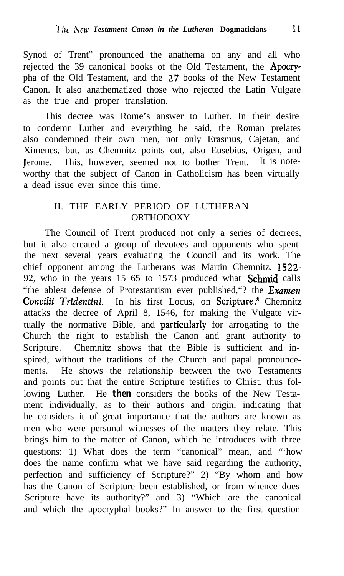Synod of Trent" pronounced the anathema on any and all who rejected the 39 canonical books of the Old Testament, the Apocrypha of the Old Testament, and the 27 books of the New Testament Canon. It also anathematized those who rejected the Latin Vulgate as the true and proper translation.

This decree was Rome's answer to Luther. In their desire to condemn Luther and everything he said, the Roman prelates also condemned their own men, not only Erasmus, Cajetan, and Ximenes, but, as Chemnitz points out, also Eusebius, Origen, and I erome. This, however, seemed not to bother Trent. It is noteworthy that the subject of Canon in Catholicism has been virtually a dead issue ever since this time.

## II. THE EARLY PERIOD OF LUTHERAN **ORTHODOXY**

The Council of Trent produced not only a series of decrees, but it also created a group of devotees and opponents who spent the next several years evaluating the Council and its work. The chief opponent among the Lutherans was Martin Chemnitz, 1522- 92, who in the years 15 65 to 1573 produced what Schmid calls "the ablest defense of Protestantism ever published,"? the *Examen* **Concilii Tridentini.** In his first Locus, on Scripture,<sup>8</sup> Chemnitz attacks the decree of April 8, 1546, for making the Vulgate virtually the normative Bible, and particuIarly for arrogating to the Church the right to establish the Canon and grant authority to Scripture. Chemnitz shows that the Bible is sufficient and inspired, without the traditions of the Church and papal pronouncements. He shows the relationship between the two Testaments and points out that the entire Scripture testifies to Christ, thus following Luther. He *then* considers the books of the New Testament individually, as to their authors and origin, indicating that he considers it of great importance that the authors are known as men who were personal witnesses of the matters they relate. This brings him to the matter of Canon, which he introduces with three questions: 1) What does the term "canonical" mean, and "'how does the name confirm what we have said regarding the authority, perfection and sufficiency of Scripture?" 2) "By whom and how has the Canon of Scripture been established, or from whence does Scripture have its authority?" and 3) "Which are the canonical and which the apocryphal books?" In answer to the first question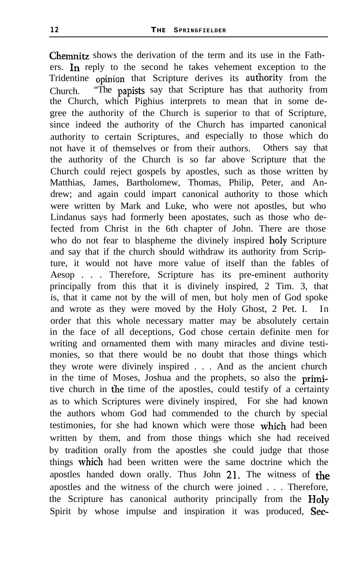Chemnitz shows the derivation of the term and its use in the Fathers. In reply to the second he takes vehement exception to the Tridentine opinion that Scripture derives its authority from the Church. "The papists say that Scripture has that authority from the Church, which Pighius interprets to mean that in some degree the authority of the Church is superior to that of Scripture, since indeed the authority of the Church has imparted canonical authority to certain Scriptures, and especially to those which do not have it of themselves or from their authors. Others say that the authority of the Church is so far above Scripture that the Church could reject gospels by apostles, such as those written by Matthias, James, Bartholomew, Thomas, Philip, Peter, and Andrew; and again could impart canonical authority to those which were written by Mark and Luke, who were not apostles, but who Lindanus says had formerly been apostates, such as those who defected from Christ in the 6th chapter of John. There are those who do not fear to blaspheme the divinely inspired holy Scripture and say that if the church should withdraw its authority from Scripture, it would not have more value of itself than the fables of Aesop . . . Therefore, Scripture has its pre-eminent authority principally from this that it is divinely inspired, 2 Tim. 3, that is, that it came not by the will of men, but holy men of God spoke and wrote as they were moved by the Holy Ghost, 2 Pet. I. order that this whole necessary matter may be absolutely certain in the face of all deceptions, God chose certain definite men for writing and ornamented them with many miracles and divine testimonies, so that there would be no doubt that those things which they wrote were divinely inspired . . . And as the ancient church in the time of Moses, Joshua and the prophets, so also the primitive church in the time of the apostles, could testify of a certainty as to which Scriptures were divinely inspired, For she had known the authors whom God had commended to the church by special testimonies, for she had known which were those which had been written by them, and from those things which she had received by tradition orally from the apostles she could judge that those things which had been written were the same doctrine which the apostles handed down orally. Thus John **21.** The witness of the apostles and the witness of the church were joined . . . Therefore, the Scripture has canonical authority principally from the Holy Spirit by whose impulse and inspiration it was produced, Sec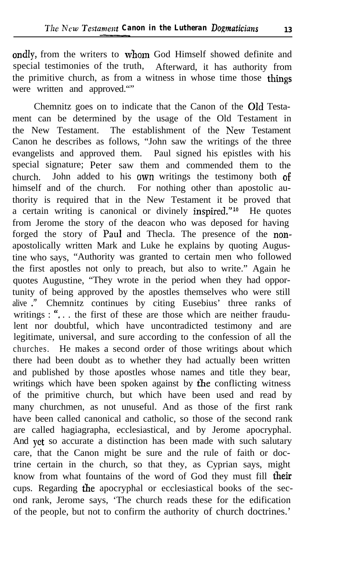ondly, from the writers to whom God Himself showed definite and special testimonies of the truth, Afterward, it has authority from the primitive church, as from a witness in whose time those things were written and approved.""

Chemnitz goes on to indicate that the Canon of the Old Testament can be determined by the usage of the Old Testament in the New Testament. The establishment of the New Testament Canon he describes as follows, "John saw the writings of the three evangelists and approved them. Paul signed his epistles with his special signature; Peter saw them and commended them to the church. John added to his **own** writings the testimony both of himself and of the church. For nothing other than apostolic authority is required that in the New Testament it be proved that a certain writing is canonical or divinely inspired." $10$  He quotes from Jerome the story of the deacon who was deposed for having forged the story of Paul and Thecla. The presence of the nonapostolically written Mark and Luke he explains by quoting Augustine who says, "Authority was granted to certain men who followed the first apostles not only to preach, but also to write." Again he quotes Augustine, "They wrote in the period when they had opportunity of being approved by the apostles themselves who were still alive ." Chemnitz continues by citing Eusebius' three ranks of writings : " $\ldots$  the first of these are those which are neither fraudulent nor doubtful, which have uncontradicted testimony and are legitimate, universal, and sure according to the confession of all the churches. He makes a second order of those writings about which there had been doubt as to whether they had actually been written and published by those apostles whose names and title they bear, writings which have been spoken against by the conflicting witness of the primitive church, but which have been used and read by many churchmen, as not unuseful. And as those of the first rank have been called canonical and catholic, so those of the second rank are called hagiagrapha, ecclesiastical, and by Jerome apocryphal. And yet so accurate a distinction has been made with such salutary care, that the Canon might be sure and the rule of faith or doctrine certain in the church, so that they, as Cyprian says, might know from what fountains of the word of God they must fill their cups. Regarding the apocryphal or ecclesiastical books of the second rank, Jerome says, 'The church reads these for the edification of the people, but not to confirm the authority of church doctrines.'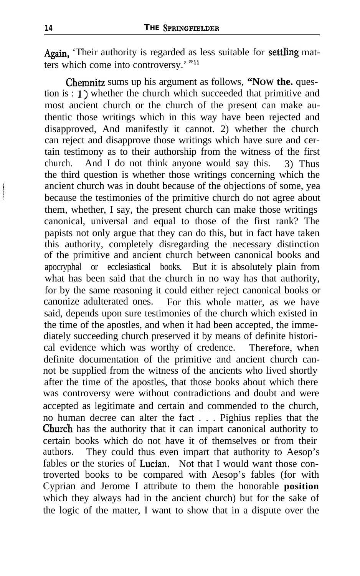Again, 'Their authority is regarded as less suitable for settling matters which come into controversy.' "'I

Chemnitz sums up his argument as follows, **"NOW the.** question is : 1) whether the church which succeeded that primitive and most ancient church or the church of the present can make authentic those writings which in this way have been rejected and disapproved, And manifestly it cannot. 2) whether the church can reject and disapprove those writings which have sure and certain testimony as to their authorship from the witness of the first church. And I do not think anyone would say this. 3) Thus the third question is whether those writings concerning which the ancient church was in doubt because of the objections of some, yea because the testimonies of the primitive church do not agree about them, whether, I say, the present church can make those writings canonical, universal and equal to those of the first rank? The papists not only argue that they can do this, but in fact have taken this authority, completely disregarding the necessary distinction of the primitive and ancient church between canonical books and apocryphal or ecclesiastical books. But it is absolutely plain from what has been said that the church in no way has that authority, for by the same reasoning it could either reject canonical books or canonize adulterated ones. For this whole matter, as we have For this whole matter, as we have said, depends upon sure testimonies of the church which existed in the time of the apostles, and when it had been accepted, the immediately succeeding church preserved it by means of definite historical evidence which was worthy of credence. Therefore, when definite documentation of the primitive and ancient church cannot be supplied from the witness of the ancients who lived shortly after the time of the apostles, that those books about which there was controversy were without contradictions and doubt and were accepted as legitimate and certain and commended to the church, no human decree can alter the fact . . . Pighius replies that the Church has the authority that it can impart canonical authority to certain books which do not have it of themselves or from their authors. They could thus even impart that authority to Aesop's fables or the stories of Lucian. Not that I would want those controverted books to be compared with Aesop's fables (for with Cyprian and Jerome I attribute to them the honorable **position** which they always had in the ancient church) but for the sake of the logic of the matter, I want to show that in a dispute over the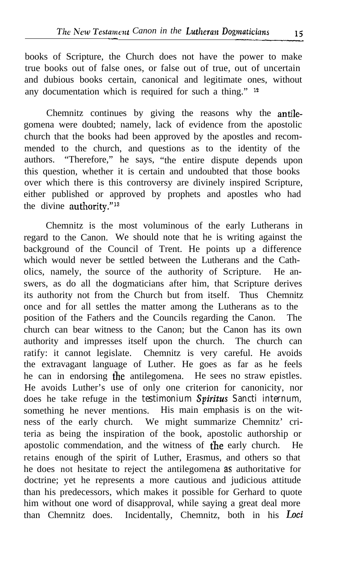books of Scripture, the Church does not have the power to make true books out of false ones, or false out of true, out of uncertain and dubious books certain, canonical and legitimate ones, without any documentation which is required for such a thing." I2

Chemnitz continues by giving the reasons why the antilegomena were doubted; namely, lack of evidence from the apostolic church that the books had been approved by the apostles and recommended to the church, and questions as to the identity of the authors. "Therefore," he says, "the entire dispute depends upon this question, whether it is certain and undoubted that those books over which there is this controversy are divinely inspired Scripture, either published or approved by prophets and apostles who had the divine authority."<sup>13</sup>

Chemnitz is the most voluminous of the early Lutherans in regard to the Canon. We should note that he is writing against the background of the Council of Trent. He points up a difference which would never be settled between the Lutherans and the Catholics, namely, the source of the authority of Scripture. He answers, as do all the dogmaticians after him, that Scripture derives its authority not from the Church but from itself. Thus Chemnitz once and for all settles the matter among the Lutherans as to the position of the Fathers and the Councils regarding the Canon. The church can bear witness to the Canon; but the Canon has its own authority and impresses itself upon the church. The church can ratify: it cannot legislate. Chemnitz is very careful. He avoids the extravagant language of Luther. He goes as far as he feels he can in endorsing the antilegomena. He sees no straw epistles. He avoids Luther's use of only one criterion for canonicity, nor does he take refuge in the *testimonium Spiritus Sancti internum,* something he never mentions. His main emphasis is on the witness of the early church. We might summarize Chemnitz' criteria as being the inspiration of the book, apostolic authorship or apostolic commendation, and the witness of the early church. He retains enough of the spirit of Luther, Erasmus, and others so that he does not hesitate to reject the antilegomena as authoritative for doctrine; yet he represents a more cautious and judicious attitude than his predecessors, which makes it possible for Gerhard to quote him without one word of disapproval, while saying a great deal more than Chemnitz does. Incidentally, Chemnitz, both in his Loci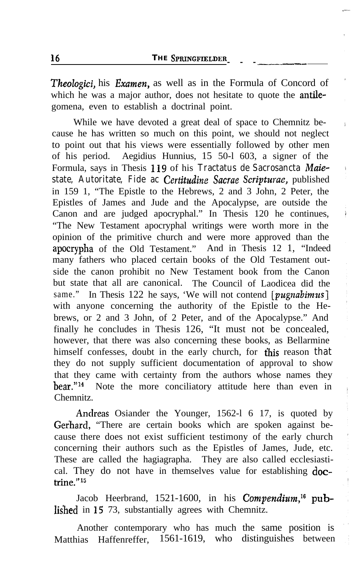Theologici, his *Examen,* as well as in the Formula of Concord of which he was a major author, does not hesitate to quote the **antile**gomena, even to establish a doctrinal point.

 $\ddot{\phantom{0}}$ 

While we have devoted a great deal of space to Chemnitz because he has written so much on this point, we should not neglect to point out that his views were essentially followed by other men of his period. Aegidius Hunnius, 15 50-l 603, a signer of the Formula, says in Thesis *119* of his *Tractatus de Sacrosancta Maiestate, Autoritate, Fide ac Certitudine Sacrae Scriprae,* published in 159 1, "The Epistle to the Hebrews, 2 and 3 John, 2 Peter, the Epistles of James and Jude and the Apocalypse, are outside the Canon and are judged apocryphal." In Thesis 120 he continues, "The New Testament apocryphal writings were worth more in the opinion of the primitive church and were more approved than the apocrypha of the Old Testament." And in Thesis 12 1, "Indeed many fathers who placed certain books of the Old Testament outside the canon prohibit no New Testament book from the Canon but state that all are canonical. The Council of Laodicea did the same." In Thesis 122 he says, 'We will not contend *[pugnabimus]* with anyone concerning the authority of the Epistle to the Hebrews, or 2 and 3 John, of 2 Peter, and of the Apocalypse." And finally he concludes in Thesis 126, "It must not be concealed, however, that there was also concerning these books, as Bellarmine himself confesses, doubt in the early church, for this reason **that** they do not supply sufficient documentation of approval to show that they came with certainty from the authors whose names they bear."<sup>14</sup> Note the more conciliatory attitude here than even in Chemnitz.

Andreas Osiander the Younger, 1562-l 6 17, is quoted by Gerhard, "There are certain books which are spoken against because there does not exist sufficient testimony of the early church concerning their authors such as the Epistles of James, Jude, etc. These are called the hagiagrapha. They are also called ecclesiastical. They do not have in themselves value for establishing doctrine. $"^{15}$ 

Jacob Heerbrand, 1521-1600, in his *Compendium*,<sup>16</sup> published in 15 73, substantially agrees with Chemnitz.

Another contemporary who has much the same position is Matthias Haffenreffer, 1561-1619, who distinguishes between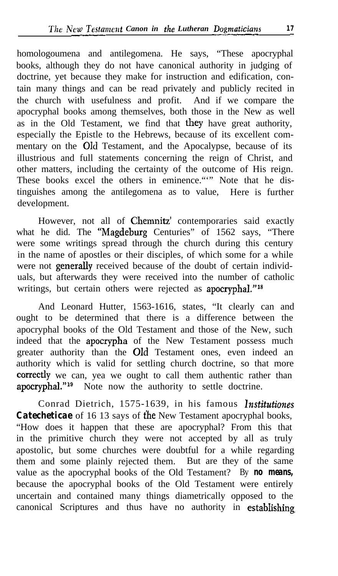homologoumena and antilegomena. He says, "These apocryphal books, although they do not have canonical authority in judging of doctrine, yet because they make for instruction and edification, contain many things and can be read privately and publicly recited in the church with usefulness and profit. And if we compare the apocryphal books among themselves, both those in the New as well as in the Old Testament, we find that they have great authority, especially the Epistle to the Hebrews, because of its excellent commentary on the Old Testament, and the Apocalypse, because of its illustrious and full statements concerning the reign of Christ, and other matters, including the certainty of the outcome of His reign. These books excel the others in eminence.""" Note that he distinguishes among the antilegomena as to value, Here is further development.

However, not all of Chemnitz' contemporaries said exactly what he did. The "Magdeburg Centuries" of 1562 says, "There were some writings spread through the church during this century in the name of apostles or their disciples, of which some for a while were not **generally** received because of the doubt of certain individuals, but afterwards they were received into the number of catholic writings, but certain others were rejected as apocryphal."<sup>18</sup>

And Leonard Hutter, 1563-1616, states, "It clearly can and ought to be determined that there is a difference between the apocryphal books of the Old Testament and those of the New, such indeed that the apocrypha of the New Testament possess much greater authority than the Old Testament ones, even indeed an authority which is valid for settling church doctrine, so that more correctly we can, yea we ought to call them authentic rather than apocryphal."<sup>19</sup> Note now the authority to settle doctrine. Note now the authority to settle doctrine.

Conrad Dietrich, 1575-1639, in his famous *Institutiones Catecheticae* of 16 13 says of the New Testament apocryphal books, "How does it happen that these are apocryphal? From this that in the primitive church they were not accepted by all as truly apostolic, but some churches were doubtful for a while regarding them and some plainly rejected them. But are they of the same value as the apocryphal books of the Old Testament? By *no means,* because the apocryphal books of the Old Testament were entirely uncertain and contained many things diametrically opposed to the canonical Scriptures and thus have no authority in establishing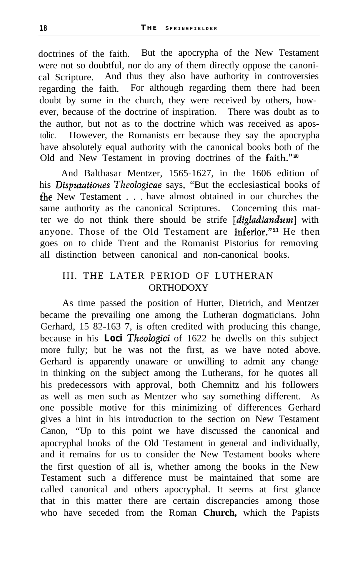doctrines of the faith. But the apocrypha of the New Testament were not so doubtful, nor do any of them directly oppose the canonical Scripture. And thus they also have authority in controversies regarding the faith. For although regarding them there had been doubt by some in the church, they were received by others, however, because of the doctrine of inspiration. There was doubt as to the author, but not as to the doctrine which was received as apostolic. However, the Romanists err because they say the apocrypha have absolutely equal authority with the canonical books both of the Old and New Testament in proving doctrines of the faith."<sup>20</sup>

And Balthasar Mentzer, 1565-1627, in the 1606 edition of his *Disputationes Thologicae* says, "But the ecclesiastical books of the New Testament . . . have almost obtained in our churches the same authority as the canonical Scriptures. Concerning this matter we do not think there should be strife *[digladiandum]* with anyone. Those of the Old Testament are inferior."<sup>21</sup> He then goes on to chide Trent and the Romanist Pistorius for removing all distinction between canonical and non-canonical books.

# III. THE LATER PERIOD OF LUTHERAN **ORTHODOXY**

As time passed the position of Hutter, Dietrich, and Mentzer became the prevailing one among the Lutheran dogmaticians. John Gerhard, 15 82-163 7, is often credited with producing this change, because in his *Loci Theologici* of 1622 he dwells on this subject more fully; but he was not the first, as we have noted above. Gerhard is apparently unaware or unwilling to admit any change in thinking on the subject among the Lutherans, for he quotes all his predecessors with approval, both Chemnitz and his followers as well as men such as Mentzer who say something different. As one possible motive for this minimizing of differences Gerhard gives a hint in his introduction to the section on New Testament Canon, "Up to this point we have discussed the canonical and apocryphal books of the Old Testament in general and individually, and it remains for us to consider the New Testament books where the first question of all is, whether among the books in the New Testament such a difference must be maintained that some are called canonical and others apocryphal. It seems at first glance that in this matter there are certain discrepancies among those who have seceded from the Roman **Church,** which the Papists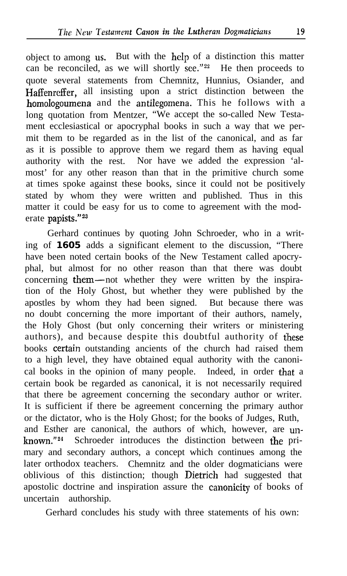object to among us. But with the help of a distinction this matter can be reconciled, as we will shortly see." $^{22}$  He then proceeds to quote several statements from Chemnitz, Hunnius, Osiander, and Haffenreffer, all insisting upon a strict distinction between the homologoumena and the antilegomena. This he follows with a long quotation from Mentzer, "We accept the so-called New Testament ecclesiastical or apocryphal books in such a way that we permit them to be regarded as in the list of the canonical, and as far as it is possible to approve them we regard them as having equal authority with the rest. Nor have we added the expression 'almost' for any other reason than that in the primitive church some at times spoke against these books, since it could not be positively stated by whom they were written and published. Thus in this matter it could be easy for us to come to agreement with the moderate papists."<sup>23</sup>

Gerhard continues by quoting John Schroeder, who in a writing of **1605** adds a significant element to the discussion, "There have been noted certain books of the New Testament called apocryphal, but almost for no other reason than that there was doubt concerning them-not whether they were written by the inspiration of the Holy Ghost, but whether they were published by the apostles by whom they had been signed. But because there was no doubt concerning the more important of their authors, namely, the Holy Ghost (but only concerning their writers or ministering authors), and because despite this doubtful authority of these books certain outstanding ancients of the church had raised them to a high level, they have obtained equal authority with the canonical books in the opinion of many people. Indeed, in order that a certain book be regarded as canonical, it is not necessarily required that there be agreement concerning the secondary author or writer. It is sufficient if there be agreement concerning the primary author or the dictator, who is the Holy Ghost; for the books of Judges, Ruth, and Esther are canonical, the authors of which, however, are unknown."<sup>24</sup> Schroeder introduces the distinction between the primary and secondary authors, a concept which continues among the later orthodox teachers. Chemnitz and the older dogmaticians were oblivious of this distinction; though Dietrich had suggested that apostolic doctrine and inspiration assure the canonicity of books of uncertain authorship.

Gerhard concludes his study with three statements of his own: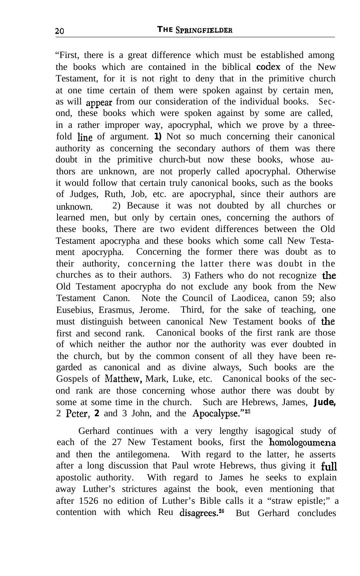"First, there is a great difference which must be established among the books which are contained in the biblical codex of the New Testament, for it is not right to deny that in the primitive church at one time certain of them were spoken against by certain men, as will appear from our consideration of the individual books. Second, these books which were spoken against by some are called, in a rather improper way, apocryphal, which we prove by a threefold line of argument. **1)** Not so much concerning their canonical authority as concerning the secondary authors of them was there doubt in the primitive church-but now these books, whose authors are unknown, are not properly called apocryphal. Otherwise it would follow that certain truly canonical books, such as the books of Judges, Ruth, Job, etc. are apocryphal, since their authors are unknown. 2) Because it was not doubted by all churches or learned men, but only by certain ones, concerning the authors of these books, There are two evident differences between the Old Testament apocrypha and these books which some call New Testament apocrypha. Concerning the former there was doubt as to their authority, concerning the latter there was doubt in the churches as to their authors. 3) Fathers who do not recognize the Old Testament apocrypha do not exclude any book from the New Testament Canon. Note the Council of Laodicea, canon 59; also Eusebius, Erasmus, Jerome. Third, for the sake of teaching, one must distinguish between canonical New Testament books of the first and second rank. Canonical books of the first rank are those of which neither the author nor the authority was ever doubted in the church, but by the common consent of all they have been regarded as canonical and as divine always, Such books are the Gospels of Matthew, Mark, Luke, etc. Canonical books of the second rank are those concerning whose author there was doubt by some at some time in the church. Such are Hebrews, James, **Jude,** 2 Peter, **2** and 3 John, and the Apocalypse,"25

Gerhard continues with a very lengthy isagogical study of each of the 27 New Testament books, first the homologoumena and then the antilegomena. With regard to the latter, he asserts after a long discussion that Paul wrote Hebrews, thus giving it full apostolic authority. With regard to James he seeks to explain away Luther's strictures against the book, even mentioning that after 1526 no edition of Luther's Bible calls it a "straw epistle;" a contention with which Reu disagrees.<sup>26</sup> But Gerhard concludes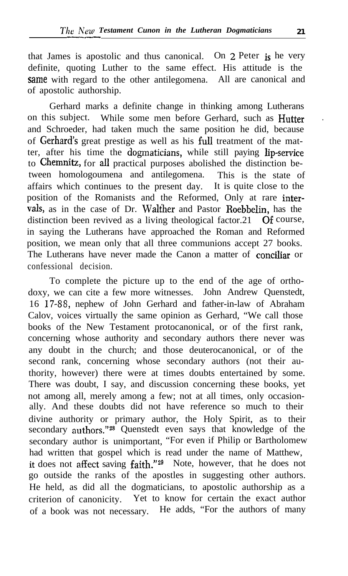that James is apostolic and thus canonical. On 2 Peter is he very definite, quoting Luther to the same effect. His attitude is the same with regard to the other antilegomena. All are canonical and of apostolic authorship.

Gerhard marks a definite change in thinking among Lutherans on this subject. While some men before Gerhard, such as Hutter and Schroeder, had taken much the same position he did, because of Gerhard's great prestige as well as his full treatment of the matter, after his time the dogmaticians, while still paying lip-service to Chemnitz, for all practical purposes abolished the distinction between homologoumena and antilegomena. This is the state of affairs which continues to the present day. It is quite close to the position of the Romanists and the Reformed, Only at rare intervals, as in the case of Dr. Walther and Pastor Roebbelin, has the distinction been revived as a living theological factor.21 Of course, in saying the Lutherans have approached the Roman and Reformed position, we mean only that all three communions accept 27 books. The Lutherans have never made the Canon a matter of conciliar or confessional decision.

To complete the picture up to the end of the age of orthodoxy, we can cite a few more witnesses. John Andrew Quenstedt, 16 17-88, nephew of John Gerhard and father-in-law of Abraham Calov, voices virtually the same opinion as Gerhard, "We call those books of the New Testament protocanonical, or of the first rank, concerning whose authority and secondary authors there never was any doubt in the church; and those deuterocanonical, or of the second rank, concerning whose secondary authors (not their authority, however) there were at times doubts entertained by some. There was doubt, I say, and discussion concerning these books, yet not among all, merely among a few; not at all times, only occasionally. And these doubts did not have reference so much to their divine authority or primary author, the Holy Spirit, as to their secondary authors."<sup>28</sup> Quenstedt even says that knowledge of the secondary author is unimportant, "For even if Philip or Bartholomew had written that gospel which is read under the name of Matthew, it does not affect saving faith."<sup>29</sup> Note, however, that he does not go outside the ranks of the apostles in suggesting other authors. He held, as did all the dogmaticians, to apostolic authorship as a criterion of canonicity. Yet to know for certain the exact author of a book was not necessary. He adds, "For the authors of many .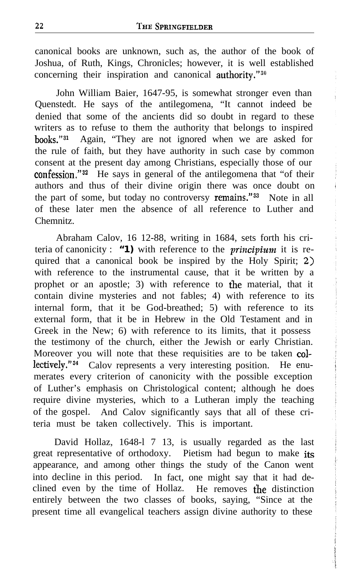canonical books are unknown, such as, the author of the book of Joshua, of Ruth, Kings, Chronicles; however, it is well established concerning their inspiration and canonical authority."30

John William Baier, 1647-95, is somewhat stronger even than Quenstedt. He says of the antilegomena, "It cannot indeed be denied that some of the ancients did so doubt in regard to these writers as to refuse to them the authority that belongs to inspired books."31 Again, "They are not ignored when we are asked for the rule of faith, but they have authority in such case by common consent at the present day among Christians, especially those of our confession."<sup>32</sup> He says in general of the antilegomena that "of their authors and thus of their divine origin there was once doubt on the part of some, but today no controversy remains."<sup>33</sup> Note in all of these later men the absence of all reference to Luther and Chemnitz.

Abraham Calov, 16 12-88, writing in 1684, sets forth his criteria of canonicity : **"1)** with reference to the *principium* it is required that a canonical book be inspired by the Holy Spirit; 2) with reference to the instrumental cause, that it be written by a prophet or an apostle; 3) with reference to the material, that it contain divine mysteries and not fables; 4) with reference to its internal form, that it be God-breathed; 5) with reference to its external form, that it be in Hebrew in the Old Testament and in Greek in the New; 6) with reference to its limits, that it possess the testimony of the church, either the Jewish or early Christian. Moreover you will note that these requisities are to be taken collectively."<sup>34</sup> Calov represents a very interesting position. He enumerates every criterion of canonicity with the possible exception of Luther's emphasis on Christological content; although he does require divine mysteries, which to a Lutheran imply the teaching of the gospel. And Calov significantly says that all of these criteria must be taken collectively. This is important.

David Hollaz, 1648-l 7 13, is usually regarded as the last great representative of orthodoxy. Pietism had begun to make its appearance, and among other things the study of the Canon went into decline in this period. In fact, one might say that it had declined even by the time of Hollaz. He removes the distinction entirely between the two classes of books, saying, "Since at the present time all evangelical teachers assign divine authority to these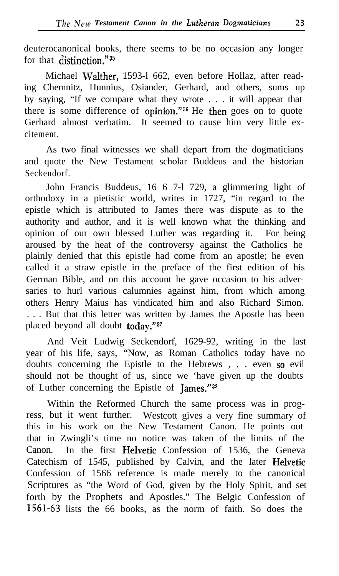deuterocanonical books, there seems to be no occasion any longer for that distinction."<sup>35</sup>

Michael Walther, 1593-l 662, even before Hollaz, after reading Chemnitz, Hunnius, Osiander, Gerhard, and others, sums up by saying, "If we compare what they wrote . . . it will appear that there is some difference of opinion."<sup>36</sup> He then goes on to quote Gerhard almost verbatim. It seemed to cause him very little excitement.

As two final witnesses we shall depart from the dogmaticians and quote the New Testament scholar Buddeus and the historian Seckendorf.

John Francis Buddeus, 16 6 7-l 729, a glimmering light of orthodoxy in a pietistic world, writes in 1727, "in regard to the epistle which is attributed to James there was dispute as to the authority and author, and it is well known what the thinking and opinion of our own blessed Luther was regarding it. For being aroused by the heat of the controversy against the Catholics he plainly denied that this epistle had come from an apostle; he even called it a straw epistle in the preface of the first edition of his German Bible, and on this account he gave occasion to his adversaries to hurl various calumnies against him, from which among others Henry Maius has vindicated him and also Richard Simon. . . . But that this letter was written by James the Apostle has been placed beyond all doubt today."37

And Veit Ludwig Seckendorf, 1629-92, writing in the last year of his life, says, "Now, as Roman Catholics today have no doubts concerning the Epistle to the Hebrews , , . even so evil should not be thought of us, since we 'have given up the doubts of Luther concerning the Epistle of James."<sup>38</sup>

Within the Reformed Church the same process was in progress, but it went further. Westcott gives a very fine summary of this in his work on the New Testament Canon. He points out that in Zwingli's time no notice was taken of the limits of the Canon. In the first Helvetic Confession of 1536, the Geneva Catechism of 1545, published by Calvin, and the later Helvetic Confession of 1566 reference is made merely to the canonical Scriptures as "the Word of God, given by the Holy Spirit, and set forth by the Prophets and Apostles." The Belgic Confession of 1561-63 lists the 66 books, as the norm of faith. So does the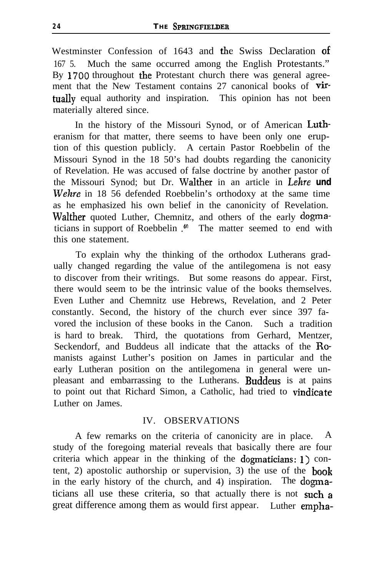Westminster Confession of 1643 and the Swiss Declaration of 167 5. Much the same occurred among the English Protestants." By 1700 throughout the Protestant church there was general agreement that the New Testament contains 27 canonical books of virtually equal authority and inspiration. This opinion has not been materially altered since.

In the history of the Missouri Synod, or of American Lutheranism for that matter, there seems to have been only one eruption of this question publicly. A certain Pastor Roebbelin of the Missouri Synod in the 18 50's had doubts regarding the canonicity of Revelation. He was accused of false doctrine by another pastor of the Missouri Synod; but Dr. Walther in an article in Lehre *und* Wehre in 18 56 defended Roebbelin's orthodoxy at the same time as he emphasized his own belief in the canonicity of Revelation. Walther quoted Luther, Chemnitz, and others of the early dogmaticians in support of Roebbelin  $\cdot$ <sup>40</sup> The matter seemed to end with this one statement.

To explain why the thinking of the orthodox Lutherans gradually changed regarding the value of the antilegomena is not easy to discover from their writings. But some reasons do appear. First, there would seem to be the intrinsic value of the books themselves. Even Luther and Chemnitz use Hebrews, Revelation, and 2 Peter constantly. Second, the history of the church ever since 397 favored the inclusion of these books in the Canon. Such a tradition is hard to break. Third, the quotations from Gerhard, Mentzer, Seckendorf, and Buddeus all indicate that the attacks of the Romanists against Luther's position on James in particular and the early Lutheran position on the antilegomena in general were unpleasant and embarrassing to the Lutherans. Buddeus is at pains to point out that Richard Simon, a Catholic, had tried to vindicate Luther on James.

### IV. OBSERVATIONS

A few remarks on the criteria of canonicity are in place. A study of the foregoing material reveals that basically there are four criteria which appear in the thinking of the dogmaticians: 1) content, 2) apostolic authorship or supervision, 3) the use of the book in the early history of the church, and 4) inspiration. The dogmaticians all use these criteria, so that actually there is not such a great difference among them as would first appear. Luther empha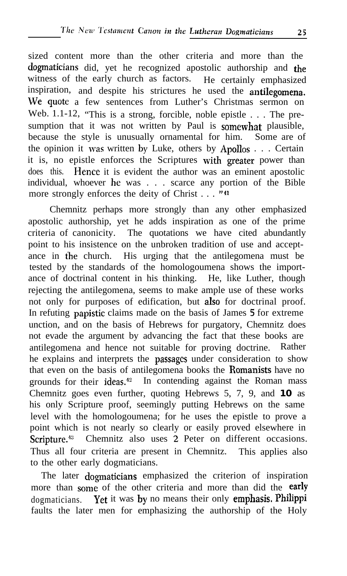sized content more than the other criteria and more than the dogmaticians did, yet he recognized apostolic authorship and the witness of the early church as factors. He certainly emphasized inspiration, and despite his strictures he used the antilegomena. We quote a few sentences from Luther's Christmas sermon on Web. 1.1-12, "This is a strong, forcible, noble epistle . . . The presumption that it was not written by Paul is somewhat plausible, because the style is unusually ornamental for him. Some are of the opinion it was written by Luke, others by Apollos . . . Certain it is, no epistle enforces the Scriptures with greater power than does this. Hence it is evident the author was an eminent apostolic individual, whoever hc was . . . scarce any portion of the Bible more strongly enforces the deity of Christ . . . "41

Chemnitz perhaps more strongly than any other emphasized apostolic authorship, yet he adds inspiration as one of the prime criteria of canonicity. The quotations we have cited abundantly point to his insistence on the unbroken tradition of use and acceptance in the church. His urging that the antilegomena must be tested by the standards of the homologoumena shows the importance of doctrinal content in his thinking. He, like Luther, though rejecting the antilegomena, seems to make ample use of these works not only for purposes of edification, but also for doctrinal proof. In refuting papistic claims made on the basis of James 5 for extreme unction, and on the basis of Hebrews for purgatory, Chemnitz does not evade the argument by advancing the fact that these books are antilegomena and hence not suitable for proving doctrine. Rather he explains and interprets the passages under consideration to show that even on the basis of antilegomena books the Romanists have no grounds for their ideas.<sup>42</sup> In contending against the Roman mass Chemnitz goes even further, quoting Hebrews 5, 7, 9, and **10** as his only Scripture proof, seemingly putting Hebrews on the same level with the homologoumena; for he uses the epistle to prove a point which is not nearly so clearly or easily proved elsewhere in Scripture.<sup>43</sup> Chemnitz also uses 2 Peter on different occasions. Thus all four criteria are present in Chemnitz. This applies also to the other early dogmaticians.

The later dogmaticians emphasized the criterion of inspiration more than some of the other criteria and more than did the early dogmaticians. Yet it was by no means their only emphasis. Philippi faults the later men for emphasizing the authorship of the Holy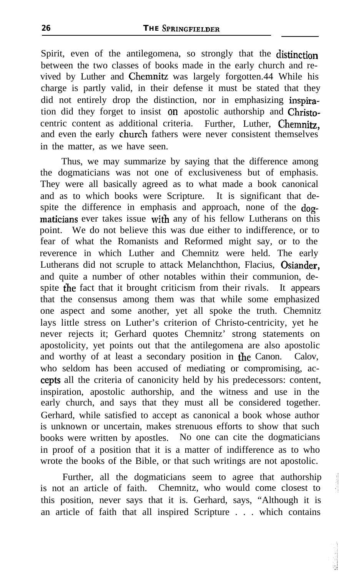Spirit, even of the antilegomena, so strongly that the distinction between the two classes of books made in the early church and revived by Luther and Chemnitz was largely forgotten.44 While his charge is partly valid, in their defense it must be stated that they did not entirely drop the distinction, nor in emphasizing inspiration did they forget to insist **<sup>011</sup>** apostolic authorship and Christocentric content as additional criteria. Further, Luther, Chemnitz, and even the early churc'h fathers were never consistent themselves in the matter, as we have seen.

Thus, we may summarize by saying that the difference among the dogmaticians was not one of exclusiveness but of emphasis. They were all basically agreed as to what made a book canonical and as to which books were Scripture. It is significant that despite the difference in emphasis and approach, none of the dogmaticians ever takes issue with any of his fellow Lutherans on this point. We do not believe this was due either to indifference, or to fear of what the Romanists and Reformed might say, or to the reverence in which Luther and Chemnitz were held. The early Lutherans did not scruple to attack Melanchthon, Flacius, Osiander, and quite a number of other notables within their communion, despite the fact that it brought criticism from their rivals. It appears that the consensus among them was that while some emphasized one aspect and some another, yet all spoke the truth. Chemnitz lays little stress on Luther's criterion of Christo-centricity, yet he never rejects it; Gerhard quotes Chemnitz' strong statements on apostolicity, yet points out that the antilegomena are also apostolic and worthy of at least a secondary position in the Canon. Calov, who seldom has been accused of mediating or compromising, accepts all the criteria of canonicity held by his predecessors: content, inspiration, apostolic authorship, and the witness and use in the early church, and says that they must all be considered together. Gerhard, while satisfied to accept as canonical a book whose author is unknown or uncertain, makes strenuous efforts to show that such books were written by apostles. No one can cite the dogmaticians in proof of a position that it is a matter of indifference as to who wrote the books of the Bible, or that such writings are not apostolic.

Further, all the dogmaticians seem to agree that authorship is not an article of faith. Chemnitz, who would come closest to this position, never says that it is. Gerhard, says, "Although it is an article of faith that all inspired Scripture . . . which contains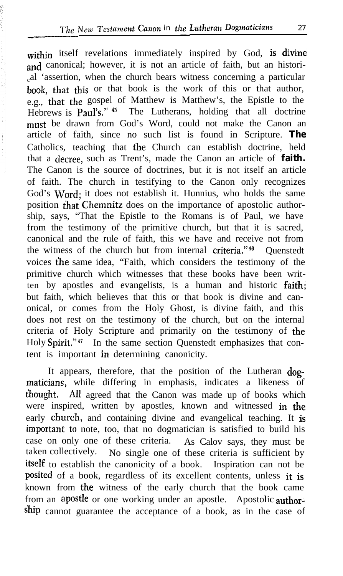within itself revelations immediately inspired by God, is divine and canonical; however, it is not an article of faith, but an histori-<sub>c</sub>al 'assertion, when the church bears witness concerning a particular book, that this or that book is the work of this or that author, e.g., that the gospel of Matthew is Matthew's, the Epistle to the Hebrews is Paul's."  $45$  The Lutherans, holding that all doctrine must be drawn from God's Word, could not make the Canon an article of faith, since no such list is found in Scripture. **The** Catholics, teaching that the Church can establish doctrine, held that a decree, such as Trent's, made the Canon an article of **faith.** The Canon is the source of doctrines, but it is not itself an article of faith. The church in testifying to the Canon only recognizes God's Word; it does not establish it. Hunnius, who holds the same position that Chemnitz does on the importance of apostolic authorship, says, "That the Epistle to the Romans is of Paul, we have from the testimony of the primitive church, but that it is sacred, canonical and the rule of faith, this we have and receive not from the witness of the church but from internal criteria."46 Quenstedt voices the same idea, "Faith, which considers the testimony of the primitive church which witnesses that these books have been written by apostles and evangelists, is a human and historic faith; but faith, which believes that this or that book is divine and canonical, or comes from the Holy Ghost, is divine faith, and this does not rest on the testimony of the church, but on the internal criteria of Holy Scripture and primarily on the testimony of the Holy Spirit."<sup>47</sup> In the same section Quenstedt emphasizes that content is important in determining canonicity.

It appears, therefore, that the position of the Lutheran dogmaticians, while differing in emphasis, indicates a likeness of thought. All agreed that the Canon was made up of books which were inspired, written by apostles, known and witnessed in he early church, and containing divine and evangelical teaching. It is important to note, too, that no dogmatician is satisfied to build his case on only one of these criteria. As Calov says, they must be taken collectively. No single one of these criteria is sufficient by itself to establish the canonicity of a book. Inspiration can not be posited of a book, regardless of its excellent contents, unless it is known from the witness of the early church that the book came from an apostle or one working under an apostle. Apostolic autborship cannot guarantee the acceptance of a book, as in the case of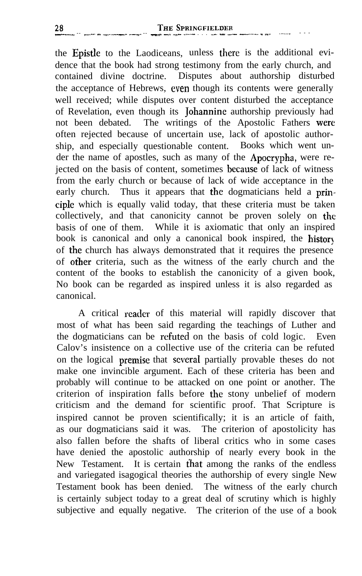the EpistIe to the Laodiceans, unless there is the additional evidence that the book had strong testimony from the early church, and contained divine doctrine. Disputes about authorship disturbed the acceptance of Hebrews, even though its contents were generally well received; while disputes over content disturbed the acceptance of Revelation, even though its Johannine authorship previously had not been debated. The writings of the Apostolic Fathers were often rejected because of uncertain use, lack of apostolic authorship, and especially questionable content. Books which went under the name of apostles, such as many of the Apocrypha, were rejected on the basis of content, sometimes because of lack of witness from the early church or because of lack of wide acceptance in the early church. Thus it appears that the dogmaticians held a principlc which is equally valid today, that these criteria must be taken collectively, and that canonicity cannot be proven solely on the basis of one of them. While it is axiomatic that only an inspired book is canonical and only a canonical book inspired, the history of the church has always demonstrated that it requires the presence of other criteria, such as the witness of the early church and the content of the books to establish the canonicity of a given book, No book can be regarded as inspired unless it is also regarded as canonical.

A critical rcadcr of this material will rapidly discover that most of what has been said regarding the teachings of Luther and the dogmaticians can be refuted on the basis of cold logic. Even Calov's insistence on a collective use of the criteria can be refuted on the logical premise that several partially provable theses do not make one invincible argument. Each of these criteria has been and probably will continue to be attacked on one point or another. The criterion of inspiration falls before the stony unbelief of modern criticism and the demand for scientific proof. That Scripture is inspired cannot be proven scientifically; it is an article of faith, as our dogmaticians said it was. The criterion of apostolicity has also fallen before the shafts of liberal critics who in some cases have denied the apostolic authorship of nearly every book in the New Testament. It is certain that among the ranks of the endless and variegated isagogical theories the authorship of every single New Testament book has been denied. The witness of the early church is certainly subject today to a great deal of scrutiny which is highly subjective and equally negative. The criterion of the use of a book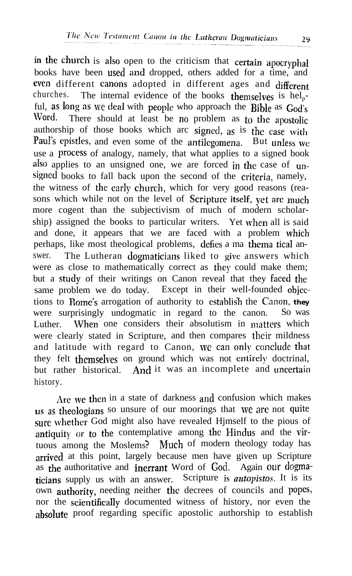in the church is also open to the criticism that certain apocryphal books have been used and dropped, others added for a time, and even different canons adopted in different ages and different churches. The internal evidence of the books themselves is  $\text{hel}_p$ churches. The internal evidence of the books themselves is help-<br>ful, as long as we deal with people who approach the Bible as  $God's$ <br>Word. There should at least be no problem as to the appetolic There should at least be no problem as to the apostolic authorship of those books which arc signed, as is the case with Paul's epistles, and even some of the antilegomena. But unless we use a process of analogy, namely, that what applies to a signed book also applies to an unsigned one, we are forced in the case of unsigned books to fall back upon the second of the criteria, namely, the witness of the early church, which for very good reasons (reasons which while not on the level of Scripture itself, yet are much more cogent than the subjectivism of much of modern scholarship) assigned the books to particular writers. Yet when all is said and done, it appears that we are faced with a problem which perhaps, like most theological problems, defies a ma thema tical answer. The Lutheran dogmaticians liked to give answers which were as close to mathematically correct as they could make them; but a study of their writings on Canon reveal that they faced the same problem we do today. Except in their well-founded objections to Rome's arrogation of authority to establish the Canon, they were surprisingly undogmatic in regard to the canon. So was Luther. When one considers their absolutism in matters which were clearly stated in Scripture, and then compares their mildness and latitude with regard to Canon, WC **can only comlde that** they felt themselves on ground which was not entirely doctrinal, but rather historical. And it was an incomplete and uncertain history.

Are we then in a state of darkness and confusion which makes us as theologians so unsure of our moorings that we are not quite sure whether God might also have revealed Himself to the pious of antiquity or to the contemplative among the Hindus and the virtuous among the Moslems? Much of modern theology today has arrived at this point, largely because men have given up Scripture as the authoritative and inerrant Word of God. Again our dogmaticians supply us with an answer. Scripture is *autopistos*. It is its own authority, needing neither the decrees of councils and popes, nor the scientifically documented witness of history, nor even the absolute proof regarding specific apostolic authorship to establish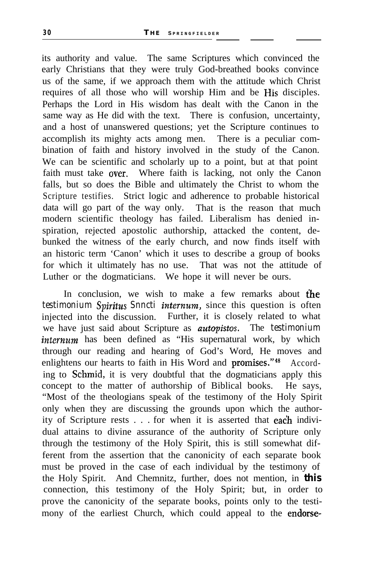its authority and value. The same Scriptures which convinced the early Christians that they were truly God-breathed books convince us of the same, if we approach them with the attitude which Christ requires of all those who will worship Him and be Nis disciples. Perhaps the Lord in His wisdom has dealt with the Canon in the same way as He did with the text. There is confusion, uncertainty, and a host of unanswered questions; yet the Scripture continues to accomplish its mighty acts among men. There is a peculiar combination of faith and history involved in the study of the Canon. We can be scientific and scholarly up to a point, but at that point faith must take over. Where faith is lacking, not only the Canon falls, but so does the Bible and ultimately the Christ to whom the Scripture testifies. Strict logic and adherence to probable historical data will go part of the way only. That is the reason that much modern scientific theology has failed. Liberalism has denied inspiration, rejected apostolic authorship, attacked the content, debunked the witness of the early church, and now finds itself with an historic term 'Canon' which it uses to describe a group of books for which it ultimately has no use. That was not the attitude of Luther or the dogmaticians. We hope it will never be ours.

In conclusion, we wish to make a few remarks about the *testimonium Spiritus Snncti internum,* since this question is often injected into the discussion. Further, it is closely related to what we have just said about Scripture as *autopistos.* The *testimonium internum* has been defined as "His supernatural work, by which through our reading and hearing of God's Word, He moves and enlightens our hearts to faith in His Word and promises."<sup>48</sup> According to Schmid, it is very doubtful that the dogmaticians apply this concept to the matter of authorship of Biblical books. He says, "Most of the theologians speak of the testimony of the Holy Spirit only when they are discussing the grounds upon which the authority of Scripture rests . . . for when it is asserted that each individual attains to divine assurance of the authority of Scripture only through the testimony of the Holy Spirit, this is still somewhat different from the assertion that the canonicity of each separate book must be proved in the case of each individual by the testimony of the Holy Spirit. And Chemnitz, further, does not mention, in **this** connection, this testimony of the Holy Spirit; but, in order to prove the canonicity of the separate books, points only to the testimony of the earliest Church, which could appeal to the endorse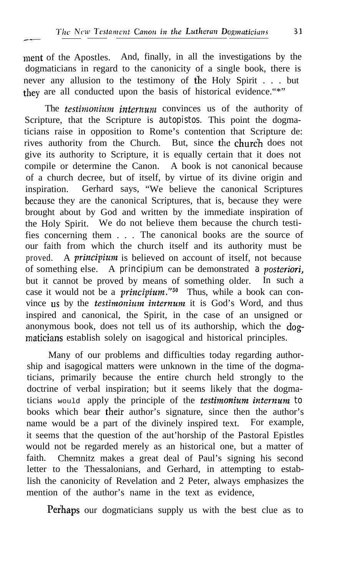merit of the Apostles. And, finally, in all the investigations by the dogmaticians in regard to the canonicity of a single book, there is never any allusion to the testimony of the Holy Spirit . . . but they are all conducted upon the basis of historical evidence."\*"

The *testimonium internum* convinces us of the authority of Scripture, that the Scripture is *autopistos.* This point the dogmaticians raise in opposition to Rome's contention that Scripture de: rives authority from the Church. But, since the church does not give its authority to Scripture, it is equally certain that it does not compile or determine the Canon. A book is not canonical because of a church decree, but of itself, by virtue of its divine origin and inspiration. Gerhard says, "We believe the canonical Scriptures because they are the canonical Scriptures, that is, because they were brought about by God and written by the immediate inspiration of the Holy Spirit. We do not believe them because the church testifies concerning them . . . The canonical books are the source of our faith from which the church itself and its authority must be proved. A *principium* is believed on account of itself, not because of something else. A *principium* can be demonstrated *a posteriori,* but it cannot be proved by means of something older. In such a case it would not be a *principium."50* Thus, while a book can convince **us** by the *testimonium internum* it is God's Word, and thus inspired and canonical, the Spirit, in the case of an unsigned or anonymous book, does not tell us of its authorship, which the dogmaticians establish solely on isagogical and historical principles.

Many of our problems and difficulties today regarding authorship and isagogical matters were unknown in the time of the dogmaticians, primarily because the entire church held strongly to the doctrine of verbal inspiration; but it seems likely that the dogmaticians would apply the principle of the *tcstimonium internurn to* books which bear their author's signature, since then the author's name would be a part of the divinely inspired text. For example, it seems that the question of the aut'horship of the Pastoral Epistles would not be regarded merely as an historical one, but a matter of faith. Chemnitz makes a great deal of Paul's signing his second letter to the Thessalonians, and Gerhard, in attempting to establish the canonicity of Revelation and 2 Peter, always emphasizes the mention of the author's name in the text as evidence,

Perhaps our dogmaticians supply us with the best clue as to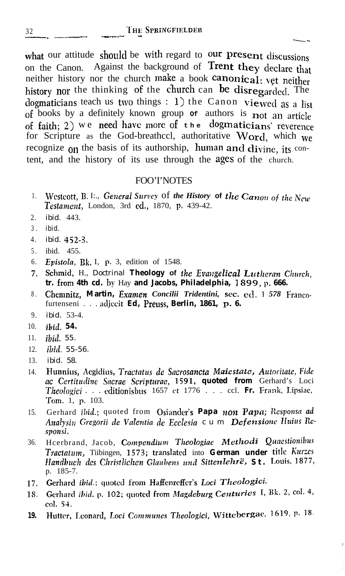.- \_\_.\_\_ \_

what our attitude should be with regard to our present discussions on the Canon. Against the background of Trent they declare that neither history nor the church make a book canonical: vet neither history nor the thinking of the church can be disregarded. The  $\frac{d}{d}$  dogmaticians teach us two things : 1) the Canon viewed as a list of books by a definitely known group **Of** authors is not an article of faith; 2) we need have more of  $\text{the}$  dogmaticians' reverence for Scripture as the God-breathccl, authoritative Word, which  $\mathbf{w}_{\mathbf{e}}$ recognize  $_{0}$  the basis of its authorship, human and divine, its content, and the history of its use through the ages of the church.

#### FOO'I'NOTES

- 1. Westcott, B. I:., General Survey of the History of the Canon of the New Testament, London, 3rd ed., 1870, p. 439-42.
- 2. *ibid.* 443.
- 3. . *ibid.*
- 4. *ibid.* 452-3,
- 5 . ibid. 455.
- 6. Epistola, Bk. I, p. 3, edition of  $1548$ .
- 7. Schmid, H., *Doctrinal* **Theology of the** *Evangelical Lutheran Church*, **tr. from 4th cd. by** Hay **and Jacobs, Philadelphia, J 899, p. 666.**
- 8 . Chemnitz, Martin, *Examen Concilii Tridentini*, sec. ed. 1 578 Francofurtenseni . . . ndjccit **Ed, Preuss, Berlin, 1861, p. 6.**
- 9. *ibid.* 53-4.
- 10. **ibicl. 54.**
- 11. *ibid.* 55.
- 12. *ibid. 55-56.*
- 13. *ibid. 58.*
- 14. **Nunnius, Aegidius,** *Tmctatus dc Smrosancta Maiestcztc, Autoritntc, Fide nc Ccrtituclinc Srwae Scriptumc,* **1591, quoted from** Gerhard's Loci Theologici . . . editionisbus 1657 ct 1776 . . . ccl. **Fr.** Frank, Lipsiae, 'Tom. 1, p. 103.
- 15. Gerhard *ibid.*; quoted from Osiander's Papa non Papa; Responsa ad Analysin Gregorii de Valentia de Ecclesia cum Defensione Huius Re*sponsi.*
- 36. Hcerbrand, Jacob, Compendium Theologiae Methodi Quaestionibus *Tractatum*, Tiibingen, 1573; translated into German under title Kurzes *Handhuch des Christlichen Glaubens und Sittenlehrë,* St. Louis. 1877, p. 185-7.
- 17. Gerhard ibid.; quoted from Haffenreffer's Loci Theologici.
- Gerhard ibid. p. 102; quoted from Magdeburg Centuries I, Bk. 2, col. 4, **IS.** col. 54.
- Hutter, Leonard, Loci Communes Theologici, Wittebergae, 1619, p. 18. **19.**